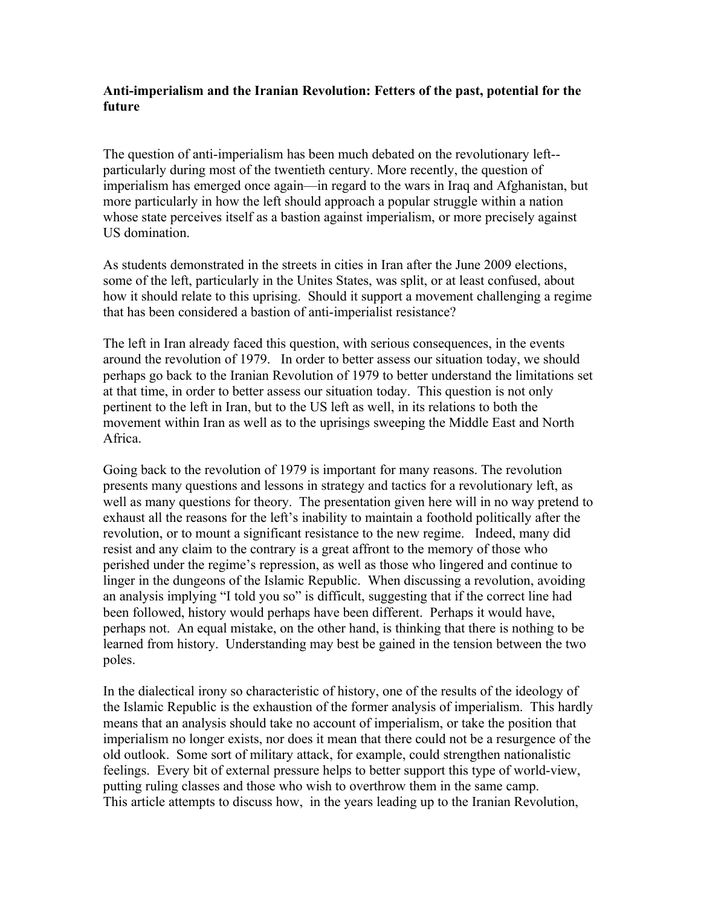## **Anti-imperialism and the Iranian Revolution: Fetters of the past, potential for the future**

The question of anti-imperialism has been much debated on the revolutionary left- particularly during most of the twentieth century. More recently, the question of imperialism has emerged once again—in regard to the wars in Iraq and Afghanistan, but more particularly in how the left should approach a popular struggle within a nation whose state perceives itself as a bastion against imperialism, or more precisely against US domination.

As students demonstrated in the streets in cities in Iran after the June 2009 elections, some of the left, particularly in the Unites States, was split, or at least confused, about how it should relate to this uprising. Should it support a movement challenging a regime that has been considered a bastion of anti-imperialist resistance?

The left in Iran already faced this question, with serious consequences, in the events around the revolution of 1979. In order to better assess our situation today, we should perhaps go back to the Iranian Revolution of 1979 to better understand the limitations set at that time, in order to better assess our situation today. This question is not only pertinent to the left in Iran, but to the US left as well, in its relations to both the movement within Iran as well as to the uprisings sweeping the Middle East and North Africa.

Going back to the revolution of 1979 is important for many reasons. The revolution presents many questions and lessons in strategy and tactics for a revolutionary left, as well as many questions for theory. The presentation given here will in no way pretend to exhaust all the reasons for the left's inability to maintain a foothold politically after the revolution, or to mount a significant resistance to the new regime. Indeed, many did resist and any claim to the contrary is a great affront to the memory of those who perished under the regime's repression, as well as those who lingered and continue to linger in the dungeons of the Islamic Republic. When discussing a revolution, avoiding an analysis implying "I told you so" is difficult, suggesting that if the correct line had been followed, history would perhaps have been different. Perhaps it would have, perhaps not. An equal mistake, on the other hand, is thinking that there is nothing to be learned from history. Understanding may best be gained in the tension between the two poles.

In the dialectical irony so characteristic of history, one of the results of the ideology of the Islamic Republic is the exhaustion of the former analysis of imperialism. This hardly means that an analysis should take no account of imperialism, or take the position that imperialism no longer exists, nor does it mean that there could not be a resurgence of the old outlook. Some sort of military attack, for example, could strengthen nationalistic feelings. Every bit of external pressure helps to better support this type of world-view, putting ruling classes and those who wish to overthrow them in the same camp. This article attempts to discuss how, in the years leading up to the Iranian Revolution,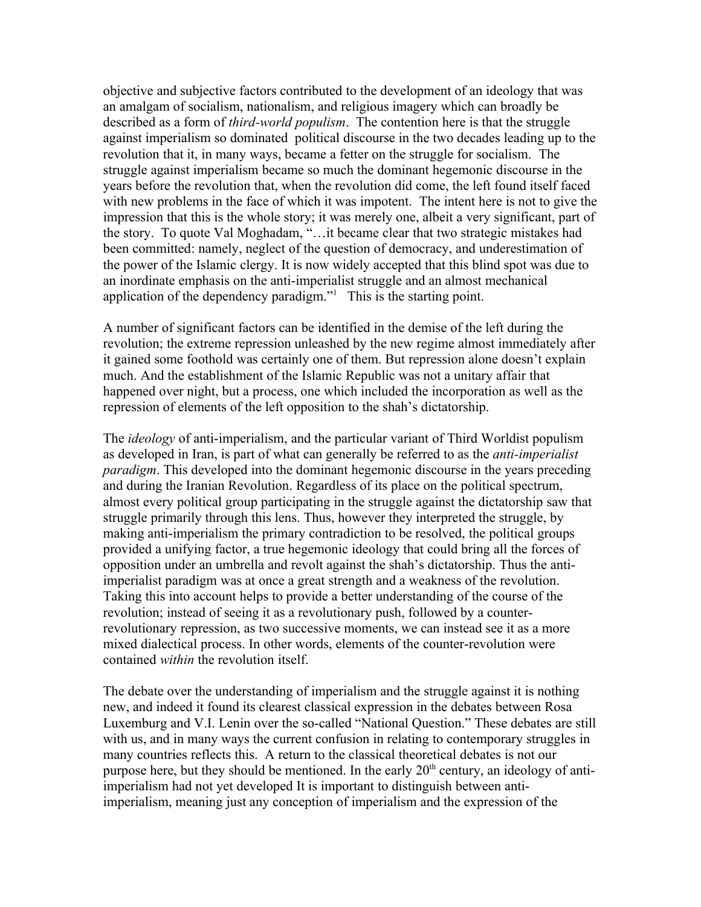objective and subjective factors contributed to the development of an ideology that was an amalgam of socialism, nationalism, and religious imagery which can broadly be described as a form of *third-world populism*. The contention here is that the struggle against imperialism so dominated political discourse in the two decades leading up to the revolution that it, in many ways, became a fetter on the struggle for socialism. The struggle against imperialism became so much the dominant hegemonic discourse in the years before the revolution that, when the revolution did come, the left found itself faced with new problems in the face of which it was impotent. The intent here is not to give the impression that this is the whole story; it was merely one, albeit a very significant, part of the story. To quote Val Moghadam, "…it became clear that two strategic mistakes had been committed: namely, neglect of the question of democracy, and underestimation of the power of the Islamic clergy. It is now widely accepted that this blind spot was due to an inordinate emphasis on the anti-imperialist struggle and an almost mechanical application of the dependency paradigm."<sup>[1](#page-10-0)</sup> This is the starting point.

A number of significant factors can be identified in the demise of the left during the revolution; the extreme repression unleashed by the new regime almost immediately after it gained some foothold was certainly one of them. But repression alone doesn't explain much. And the establishment of the Islamic Republic was not a unitary affair that happened over night, but a process, one which included the incorporation as well as the repression of elements of the left opposition to the shah's dictatorship.

The *ideology* of anti-imperialism, and the particular variant of Third Worldist populism as developed in Iran, is part of what can generally be referred to as the *anti-imperialist paradigm*. This developed into the dominant hegemonic discourse in the years preceding and during the Iranian Revolution. Regardless of its place on the political spectrum, almost every political group participating in the struggle against the dictatorship saw that struggle primarily through this lens. Thus, however they interpreted the struggle, by making anti-imperialism the primary contradiction to be resolved, the political groups provided a unifying factor, a true hegemonic ideology that could bring all the forces of opposition under an umbrella and revolt against the shah's dictatorship. Thus the antiimperialist paradigm was at once a great strength and a weakness of the revolution. Taking this into account helps to provide a better understanding of the course of the revolution; instead of seeing it as a revolutionary push, followed by a counterrevolutionary repression, as two successive moments, we can instead see it as a more mixed dialectical process. In other words, elements of the counter-revolution were contained *within* the revolution itself.

The debate over the understanding of imperialism and the struggle against it is nothing new, and indeed it found its clearest classical expression in the debates between Rosa Luxemburg and V.I. Lenin over the so-called "National Question." These debates are still with us, and in many ways the current confusion in relating to contemporary struggles in many countries reflects this. A return to the classical theoretical debates is not our purpose here, but they should be mentioned. In the early  $20<sup>th</sup>$  century, an ideology of antiimperialism had not yet developed It is important to distinguish between antiimperialism, meaning just any conception of imperialism and the expression of the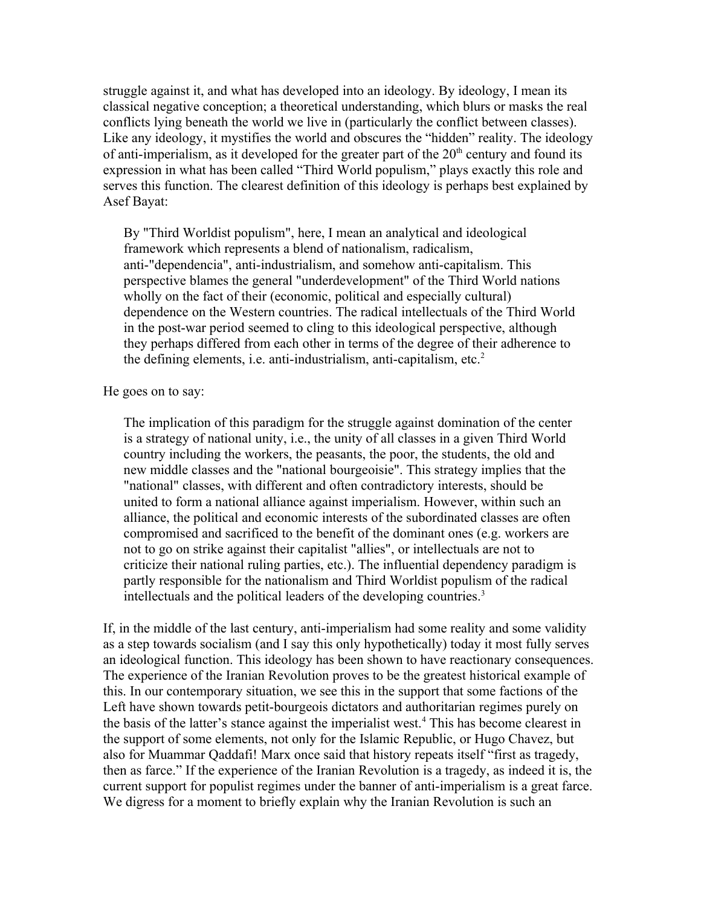struggle against it, and what has developed into an ideology. By ideology, I mean its classical negative conception; a theoretical understanding, which blurs or masks the real conflicts lying beneath the world we live in (particularly the conflict between classes). Like any ideology, it mystifies the world and obscures the "hidden" reality. The ideology of anti-imperialism, as it developed for the greater part of the  $20<sup>th</sup>$  century and found its expression in what has been called "Third World populism," plays exactly this role and serves this function. The clearest definition of this ideology is perhaps best explained by Asef Bayat:

By "Third Worldist populism", here, I mean an analytical and ideological framework which represents a blend of nationalism, radicalism, anti-"dependencia", anti-industrialism, and somehow anti-capitalism. This perspective blames the general "underdevelopment" of the Third World nations wholly on the fact of their (economic, political and especially cultural) dependence on the Western countries. The radical intellectuals of the Third World in the post-war period seemed to cling to this ideological perspective, although they perhaps differed from each other in terms of the degree of their adherence to the defining elements, i.e. anti-industrialism, anti-capitalism, etc.<sup>[2](#page-10-1)</sup>

He goes on to say:

The implication of this paradigm for the struggle against domination of the center is a strategy of national unity, i.e., the unity of all classes in a given Third World country including the workers, the peasants, the poor, the students, the old and new middle classes and the "national bourgeoisie". This strategy implies that the "national" classes, with different and often contradictory interests, should be united to form a national alliance against imperialism. However, within such an alliance, the political and economic interests of the subordinated classes are often compromised and sacrificed to the benefit of the dominant ones (e.g. workers are not to go on strike against their capitalist "allies", or intellectuals are not to criticize their national ruling parties, etc.). The influential dependency paradigm is partly responsible for the nationalism and Third Worldist populism of the radical intellectuals and the political leaders of the developing countries.[3](#page-10-2)

If, in the middle of the last century, anti-imperialism had some reality and some validity as a step towards socialism (and I say this only hypothetically) today it most fully serves an ideological function. This ideology has been shown to have reactionary consequences. The experience of the Iranian Revolution proves to be the greatest historical example of this. In our contemporary situation, we see this in the support that some factions of the Left have shown towards petit-bourgeois dictators and authoritarian regimes purely on the basis of the latter's stance against the imperialist west.<sup>[4](#page-10-3)</sup> This has become clearest in the support of some elements, not only for the Islamic Republic, or Hugo Chavez, but also for Muammar Qaddafi! Marx once said that history repeats itself "first as tragedy, then as farce." If the experience of the Iranian Revolution is a tragedy, as indeed it is, the current support for populist regimes under the banner of anti-imperialism is a great farce. We digress for a moment to briefly explain why the Iranian Revolution is such an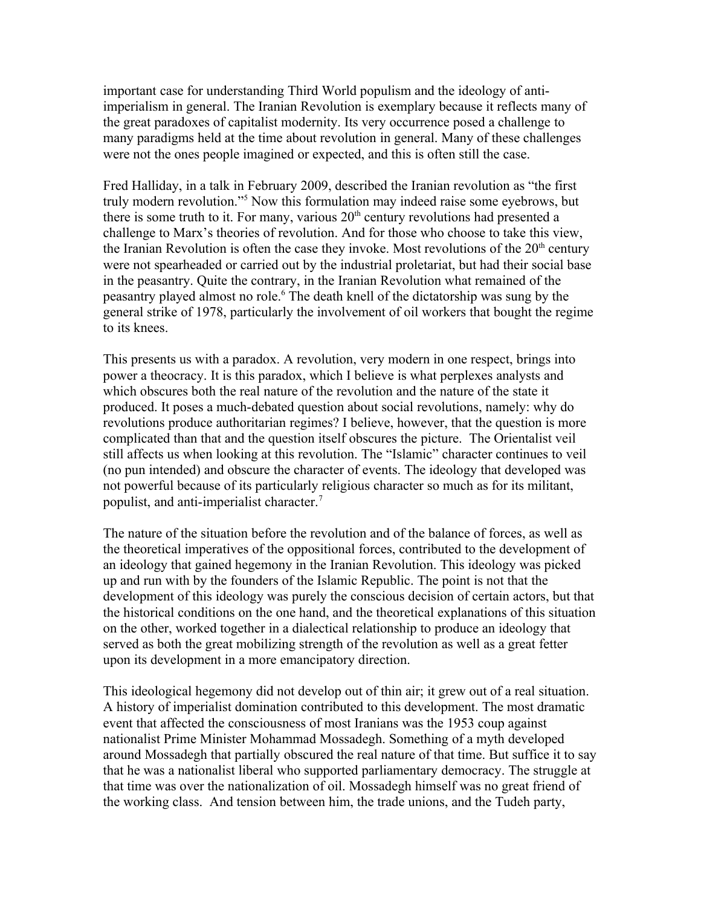important case for understanding Third World populism and the ideology of antiimperialism in general. The Iranian Revolution is exemplary because it reflects many of the great paradoxes of capitalist modernity. Its very occurrence posed a challenge to many paradigms held at the time about revolution in general. Many of these challenges were not the ones people imagined or expected, and this is often still the case.

Fred Halliday, in a talk in February 2009, described the Iranian revolution as "the first truly modern revolution."[5](#page-10-4) Now this formulation may indeed raise some eyebrows, but there is some truth to it. For many, various  $20<sup>th</sup>$  century revolutions had presented a challenge to Marx's theories of revolution. And for those who choose to take this view, the Iranian Revolution is often the case they invoke. Most revolutions of the  $20<sup>th</sup>$  century were not spearheaded or carried out by the industrial proletariat, but had their social base in the peasantry. Quite the contrary, in the Iranian Revolution what remained of the peasantry played almost no role.<sup>[6](#page-10-5)</sup> The death knell of the dictatorship was sung by the general strike of 1978, particularly the involvement of oil workers that bought the regime to its knees.

This presents us with a paradox. A revolution, very modern in one respect, brings into power a theocracy. It is this paradox, which I believe is what perplexes analysts and which obscures both the real nature of the revolution and the nature of the state it produced. It poses a much-debated question about social revolutions, namely: why do revolutions produce authoritarian regimes? I believe, however, that the question is more complicated than that and the question itself obscures the picture. The Orientalist veil still affects us when looking at this revolution. The "Islamic" character continues to veil (no pun intended) and obscure the character of events. The ideology that developed was not powerful because of its particularly religious character so much as for its militant, populist, and anti-imperialist character.[7](#page-10-6)

The nature of the situation before the revolution and of the balance of forces, as well as the theoretical imperatives of the oppositional forces, contributed to the development of an ideology that gained hegemony in the Iranian Revolution. This ideology was picked up and run with by the founders of the Islamic Republic. The point is not that the development of this ideology was purely the conscious decision of certain actors, but that the historical conditions on the one hand, and the theoretical explanations of this situation on the other, worked together in a dialectical relationship to produce an ideology that served as both the great mobilizing strength of the revolution as well as a great fetter upon its development in a more emancipatory direction.

This ideological hegemony did not develop out of thin air; it grew out of a real situation. A history of imperialist domination contributed to this development. The most dramatic event that affected the consciousness of most Iranians was the 1953 coup against nationalist Prime Minister Mohammad Mossadegh. Something of a myth developed around Mossadegh that partially obscured the real nature of that time. But suffice it to say that he was a nationalist liberal who supported parliamentary democracy. The struggle at that time was over the nationalization of oil. Mossadegh himself was no great friend of the working class. And tension between him, the trade unions, and the Tudeh party,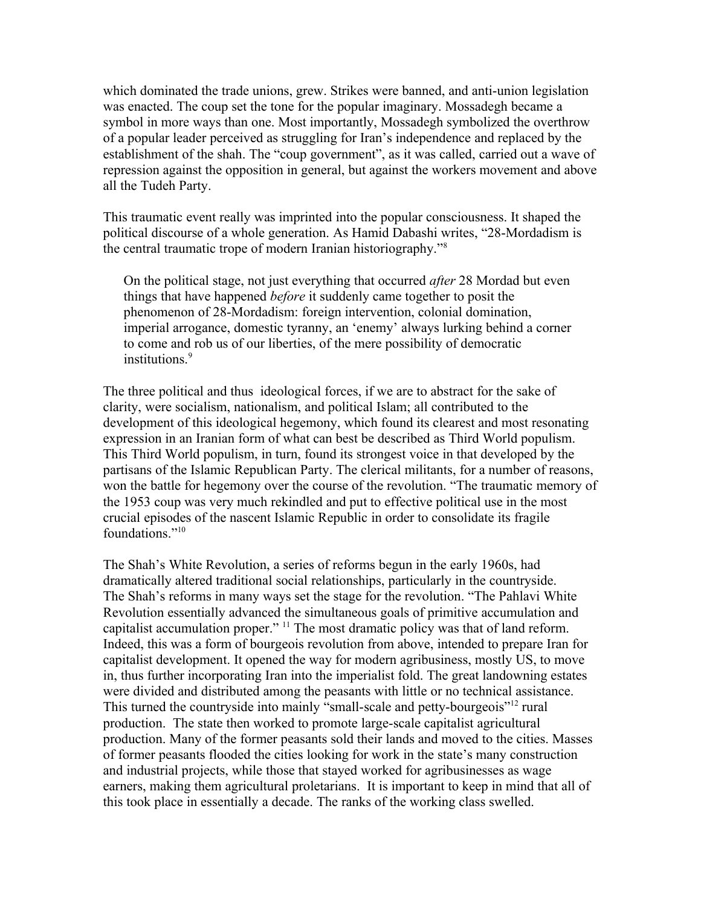which dominated the trade unions, grew. Strikes were banned, and anti-union legislation was enacted. The coup set the tone for the popular imaginary. Mossadegh became a symbol in more ways than one. Most importantly, Mossadegh symbolized the overthrow of a popular leader perceived as struggling for Iran's independence and replaced by the establishment of the shah. The "coup government", as it was called, carried out a wave of repression against the opposition in general, but against the workers movement and above all the Tudeh Party.

This traumatic event really was imprinted into the popular consciousness. It shaped the political discourse of a whole generation. As Hamid Dabashi writes, "28-Mordadism is the central traumatic trope of modern Iranian historiography."[8](#page-10-7)

On the political stage, not just everything that occurred *after* 28 Mordad but even things that have happened *before* it suddenly came together to posit the phenomenon of 28-Mordadism: foreign intervention, colonial domination, imperial arrogance, domestic tyranny, an 'enemy' always lurking behind a corner to come and rob us of our liberties, of the mere possibility of democratic institutions.<sup>[9](#page-10-8)</sup>

The three political and thus ideological forces, if we are to abstract for the sake of clarity, were socialism, nationalism, and political Islam; all contributed to the development of this ideological hegemony, which found its clearest and most resonating expression in an Iranian form of what can best be described as Third World populism. This Third World populism, in turn, found its strongest voice in that developed by the partisans of the Islamic Republican Party. The clerical militants, for a number of reasons, won the battle for hegemony over the course of the revolution. "The traumatic memory of the 1953 coup was very much rekindled and put to effective political use in the most crucial episodes of the nascent Islamic Republic in order to consolidate its fragile foundations."<sup>[10](#page-10-9)</sup>

The Shah's White Revolution, a series of reforms begun in the early 1960s, had dramatically altered traditional social relationships, particularly in the countryside. The Shah's reforms in many ways set the stage for the revolution. "The Pahlavi White Revolution essentially advanced the simultaneous goals of primitive accumulation and capitalist accumulation proper." [11](#page-10-10) The most dramatic policy was that of land reform. Indeed, this was a form of bourgeois revolution from above, intended to prepare Iran for capitalist development. It opened the way for modern agribusiness, mostly US, to move in, thus further incorporating Iran into the imperialist fold. The great landowning estates were divided and distributed among the peasants with little or no technical assistance. This turned the countryside into mainly "small-scale and petty-bourgeois"<sup>[12](#page-10-11)</sup> rural production. The state then worked to promote large-scale capitalist agricultural production. Many of the former peasants sold their lands and moved to the cities. Masses of former peasants flooded the cities looking for work in the state's many construction and industrial projects, while those that stayed worked for agribusinesses as wage earners, making them agricultural proletarians. It is important to keep in mind that all of this took place in essentially a decade. The ranks of the working class swelled.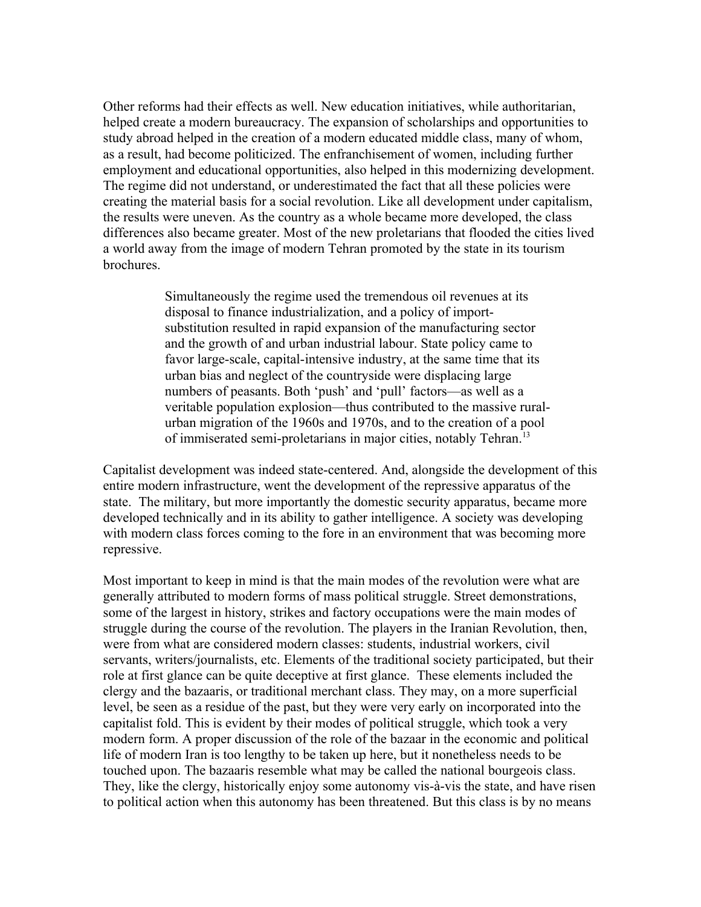Other reforms had their effects as well. New education initiatives, while authoritarian, helped create a modern bureaucracy. The expansion of scholarships and opportunities to study abroad helped in the creation of a modern educated middle class, many of whom, as a result, had become politicized. The enfranchisement of women, including further employment and educational opportunities, also helped in this modernizing development. The regime did not understand, or underestimated the fact that all these policies were creating the material basis for a social revolution. Like all development under capitalism, the results were uneven. As the country as a whole became more developed, the class differences also became greater. Most of the new proletarians that flooded the cities lived a world away from the image of modern Tehran promoted by the state in its tourism brochures.

> Simultaneously the regime used the tremendous oil revenues at its disposal to finance industrialization, and a policy of importsubstitution resulted in rapid expansion of the manufacturing sector and the growth of and urban industrial labour. State policy came to favor large-scale, capital-intensive industry, at the same time that its urban bias and neglect of the countryside were displacing large numbers of peasants. Both 'push' and 'pull' factors—as well as a veritable population explosion—thus contributed to the massive ruralurban migration of the 1960s and 1970s, and to the creation of a pool of immiserated semi-proletarians in major cities, notably Tehran.[13](#page-10-12)

Capitalist development was indeed state-centered. And, alongside the development of this entire modern infrastructure, went the development of the repressive apparatus of the state. The military, but more importantly the domestic security apparatus, became more developed technically and in its ability to gather intelligence. A society was developing with modern class forces coming to the fore in an environment that was becoming more repressive.

Most important to keep in mind is that the main modes of the revolution were what are generally attributed to modern forms of mass political struggle. Street demonstrations, some of the largest in history, strikes and factory occupations were the main modes of struggle during the course of the revolution. The players in the Iranian Revolution, then, were from what are considered modern classes: students, industrial workers, civil servants, writers/journalists, etc. Elements of the traditional society participated, but their role at first glance can be quite deceptive at first glance. These elements included the clergy and the bazaaris, or traditional merchant class. They may, on a more superficial level, be seen as a residue of the past, but they were very early on incorporated into the capitalist fold. This is evident by their modes of political struggle, which took a very modern form. A proper discussion of the role of the bazaar in the economic and political life of modern Iran is too lengthy to be taken up here, but it nonetheless needs to be touched upon. The bazaaris resemble what may be called the national bourgeois class. They, like the clergy, historically enjoy some autonomy vis-à-vis the state, and have risen to political action when this autonomy has been threatened. But this class is by no means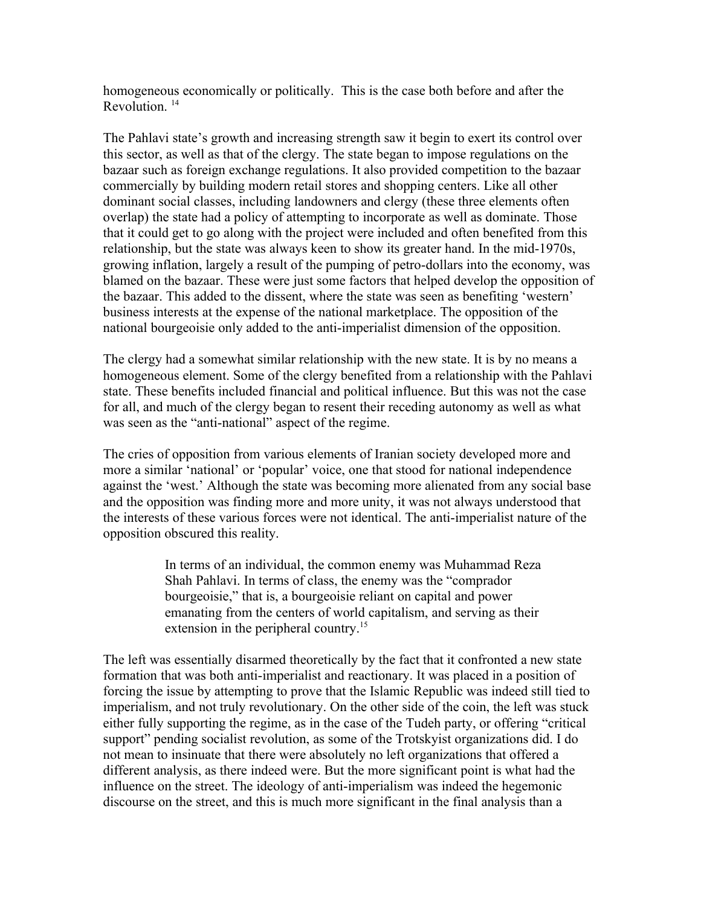homogeneous economically or politically. This is the case both before and after the Revolution<sup>[14](#page-10-13)</sup>

The Pahlavi state's growth and increasing strength saw it begin to exert its control over this sector, as well as that of the clergy. The state began to impose regulations on the bazaar such as foreign exchange regulations. It also provided competition to the bazaar commercially by building modern retail stores and shopping centers. Like all other dominant social classes, including landowners and clergy (these three elements often overlap) the state had a policy of attempting to incorporate as well as dominate. Those that it could get to go along with the project were included and often benefited from this relationship, but the state was always keen to show its greater hand. In the mid-1970s, growing inflation, largely a result of the pumping of petro-dollars into the economy, was blamed on the bazaar. These were just some factors that helped develop the opposition of the bazaar. This added to the dissent, where the state was seen as benefiting 'western' business interests at the expense of the national marketplace. The opposition of the national bourgeoisie only added to the anti-imperialist dimension of the opposition.

The clergy had a somewhat similar relationship with the new state. It is by no means a homogeneous element. Some of the clergy benefited from a relationship with the Pahlavi state. These benefits included financial and political influence. But this was not the case for all, and much of the clergy began to resent their receding autonomy as well as what was seen as the "anti-national" aspect of the regime.

The cries of opposition from various elements of Iranian society developed more and more a similar 'national' or 'popular' voice, one that stood for national independence against the 'west.' Although the state was becoming more alienated from any social base and the opposition was finding more and more unity, it was not always understood that the interests of these various forces were not identical. The anti-imperialist nature of the opposition obscured this reality.

> In terms of an individual, the common enemy was Muhammad Reza Shah Pahlavi. In terms of class, the enemy was the "comprador bourgeoisie," that is, a bourgeoisie reliant on capital and power emanating from the centers of world capitalism, and serving as their extension in the peripheral country.<sup>[15](#page-10-14)</sup>

The left was essentially disarmed theoretically by the fact that it confronted a new state formation that was both anti-imperialist and reactionary. It was placed in a position of forcing the issue by attempting to prove that the Islamic Republic was indeed still tied to imperialism, and not truly revolutionary. On the other side of the coin, the left was stuck either fully supporting the regime, as in the case of the Tudeh party, or offering "critical support" pending socialist revolution, as some of the Trotskyist organizations did. I do not mean to insinuate that there were absolutely no left organizations that offered a different analysis, as there indeed were. But the more significant point is what had the influence on the street. The ideology of anti-imperialism was indeed the hegemonic discourse on the street, and this is much more significant in the final analysis than a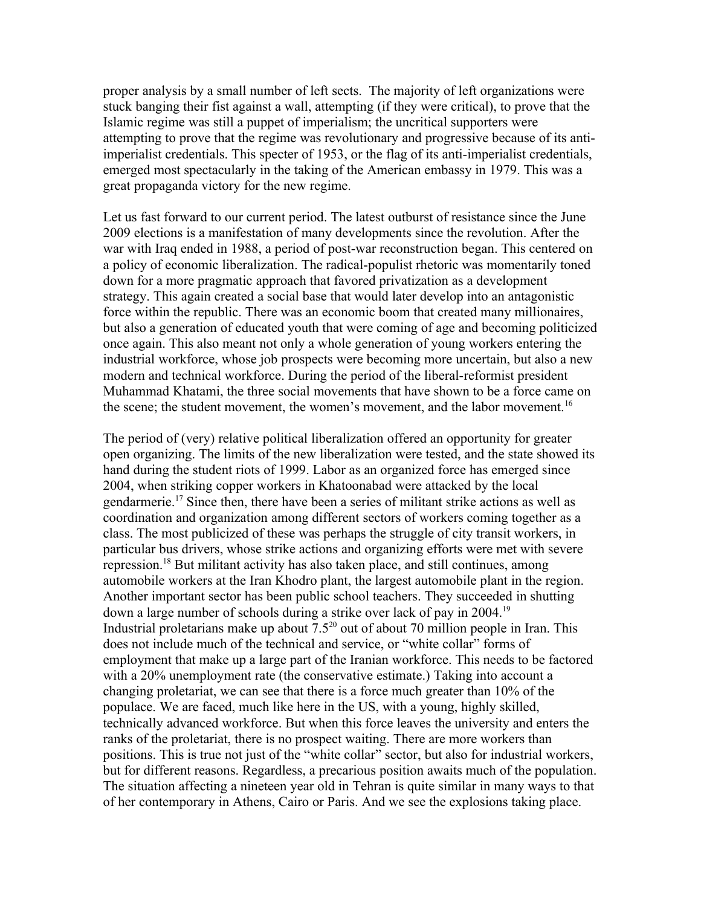proper analysis by a small number of left sects. The majority of left organizations were stuck banging their fist against a wall, attempting (if they were critical), to prove that the Islamic regime was still a puppet of imperialism; the uncritical supporters were attempting to prove that the regime was revolutionary and progressive because of its antiimperialist credentials. This specter of 1953, or the flag of its anti-imperialist credentials, emerged most spectacularly in the taking of the American embassy in 1979. This was a great propaganda victory for the new regime.

Let us fast forward to our current period. The latest outburst of resistance since the June 2009 elections is a manifestation of many developments since the revolution. After the war with Iraq ended in 1988, a period of post-war reconstruction began. This centered on a policy of economic liberalization. The radical-populist rhetoric was momentarily toned down for a more pragmatic approach that favored privatization as a development strategy. This again created a social base that would later develop into an antagonistic force within the republic. There was an economic boom that created many millionaires, but also a generation of educated youth that were coming of age and becoming politicized once again. This also meant not only a whole generation of young workers entering the industrial workforce, whose job prospects were becoming more uncertain, but also a new modern and technical workforce. During the period of the liberal-reformist president Muhammad Khatami, the three social movements that have shown to be a force came on the scene; the student movement, the women's movement, and the labor movement.<sup>[16](#page-10-15)</sup>

The period of (very) relative political liberalization offered an opportunity for greater open organizing. The limits of the new liberalization were tested, and the state showed its hand during the student riots of 1999. Labor as an organized force has emerged since 2004, when striking copper workers in Khatoonabad were attacked by the local gendarmerie.<sup>[17](#page-10-16)</sup> Since then, there have been a series of militant strike actions as well as coordination and organization among different sectors of workers coming together as a class. The most publicized of these was perhaps the struggle of city transit workers, in particular bus drivers, whose strike actions and organizing efforts were met with severe repression.[18](#page-10-17) But militant activity has also taken place, and still continues, among automobile workers at the Iran Khodro plant, the largest automobile plant in the region. Another important sector has been public school teachers. They succeeded in shutting down a large number of schools during a strike over lack of pay in 2004.[19](#page-10-18) Industrial proletarians make up about  $7.5^{20}$  $7.5^{20}$  $7.5^{20}$  out of about 70 million people in Iran. This does not include much of the technical and service, or "white collar" forms of employment that make up a large part of the Iranian workforce. This needs to be factored with a 20% unemployment rate (the conservative estimate.) Taking into account a changing proletariat, we can see that there is a force much greater than 10% of the populace. We are faced, much like here in the US, with a young, highly skilled, technically advanced workforce. But when this force leaves the university and enters the ranks of the proletariat, there is no prospect waiting. There are more workers than positions. This is true not just of the "white collar" sector, but also for industrial workers, but for different reasons. Regardless, a precarious position awaits much of the population. The situation affecting a nineteen year old in Tehran is quite similar in many ways to that of her contemporary in Athens, Cairo or Paris. And we see the explosions taking place.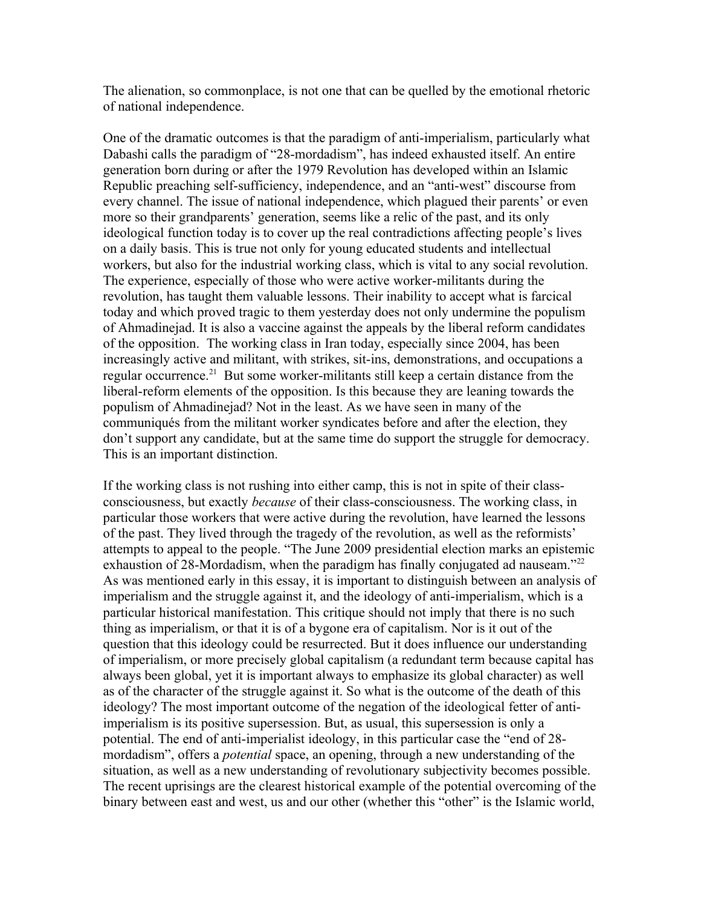The alienation, so commonplace, is not one that can be quelled by the emotional rhetoric of national independence.

One of the dramatic outcomes is that the paradigm of anti-imperialism, particularly what Dabashi calls the paradigm of "28-mordadism", has indeed exhausted itself. An entire generation born during or after the 1979 Revolution has developed within an Islamic Republic preaching self-sufficiency, independence, and an "anti-west" discourse from every channel. The issue of national independence, which plagued their parents' or even more so their grandparents' generation, seems like a relic of the past, and its only ideological function today is to cover up the real contradictions affecting people's lives on a daily basis. This is true not only for young educated students and intellectual workers, but also for the industrial working class, which is vital to any social revolution. The experience, especially of those who were active worker-militants during the revolution, has taught them valuable lessons. Their inability to accept what is farcical today and which proved tragic to them yesterday does not only undermine the populism of Ahmadinejad. It is also a vaccine against the appeals by the liberal reform candidates of the opposition. The working class in Iran today, especially since 2004, has been increasingly active and militant, with strikes, sit-ins, demonstrations, and occupations a regular occurrence.<sup>[21](#page-10-20)</sup> But some worker-militants still keep a certain distance from the liberal-reform elements of the opposition. Is this because they are leaning towards the populism of Ahmadinejad? Not in the least. As we have seen in many of the communiqués from the militant worker syndicates before and after the election, they don't support any candidate, but at the same time do support the struggle for democracy. This is an important distinction.

If the working class is not rushing into either camp, this is not in spite of their classconsciousness, but exactly *because* of their class-consciousness. The working class, in particular those workers that were active during the revolution, have learned the lessons of the past. They lived through the tragedy of the revolution, as well as the reformists' attempts to appeal to the people. "The June 2009 presidential election marks an epistemic exhaustion of 28-Mordadism, when the paradigm has finally conjugated ad nauseam.<sup>"[22](#page-11-0)</sup> As was mentioned early in this essay, it is important to distinguish between an analysis of imperialism and the struggle against it, and the ideology of anti-imperialism, which is a particular historical manifestation. This critique should not imply that there is no such thing as imperialism, or that it is of a bygone era of capitalism. Nor is it out of the question that this ideology could be resurrected. But it does influence our understanding of imperialism, or more precisely global capitalism (a redundant term because capital has always been global, yet it is important always to emphasize its global character) as well as of the character of the struggle against it. So what is the outcome of the death of this ideology? The most important outcome of the negation of the ideological fetter of antiimperialism is its positive supersession. But, as usual, this supersession is only a potential. The end of anti-imperialist ideology, in this particular case the "end of 28 mordadism", offers a *potential* space, an opening, through a new understanding of the situation, as well as a new understanding of revolutionary subjectivity becomes possible. The recent uprisings are the clearest historical example of the potential overcoming of the binary between east and west, us and our other (whether this "other" is the Islamic world,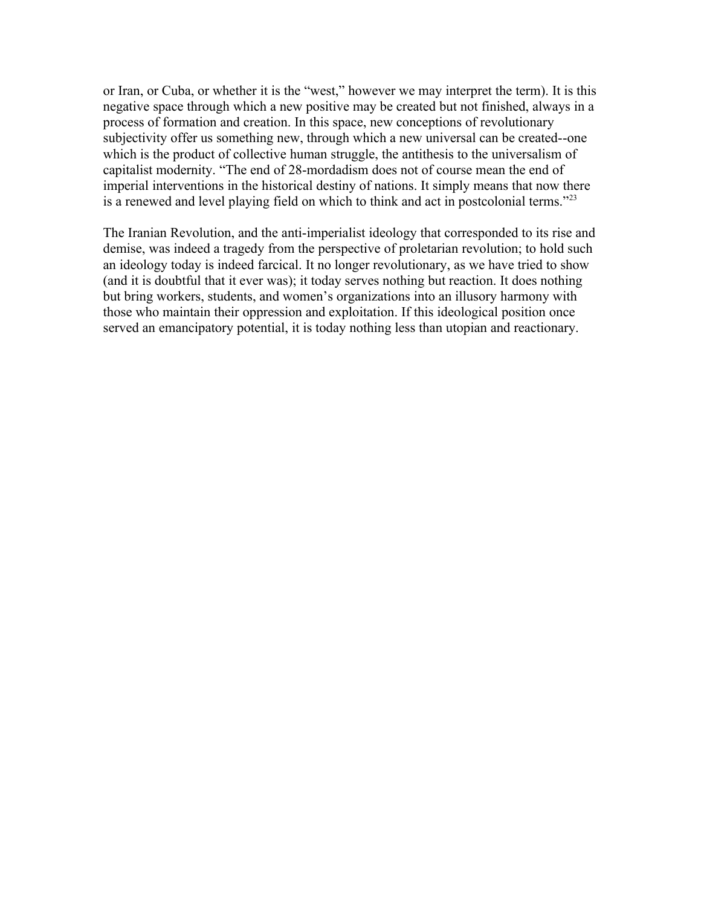or Iran, or Cuba, or whether it is the "west," however we may interpret the term). It is this negative space through which a new positive may be created but not finished, always in a process of formation and creation. In this space, new conceptions of revolutionary subjectivity offer us something new, through which a new universal can be created--one which is the product of collective human struggle, the antithesis to the universalism of capitalist modernity. "The end of 28-mordadism does not of course mean the end of imperial interventions in the historical destiny of nations. It simply means that now there is a renewed and level playing field on which to think and act in postcolonial terms."[23](#page-11-1)

The Iranian Revolution, and the anti-imperialist ideology that corresponded to its rise and demise, was indeed a tragedy from the perspective of proletarian revolution; to hold such an ideology today is indeed farcical. It no longer revolutionary, as we have tried to show (and it is doubtful that it ever was); it today serves nothing but reaction. It does nothing but bring workers, students, and women's organizations into an illusory harmony with those who maintain their oppression and exploitation. If this ideological position once served an emancipatory potential, it is today nothing less than utopian and reactionary.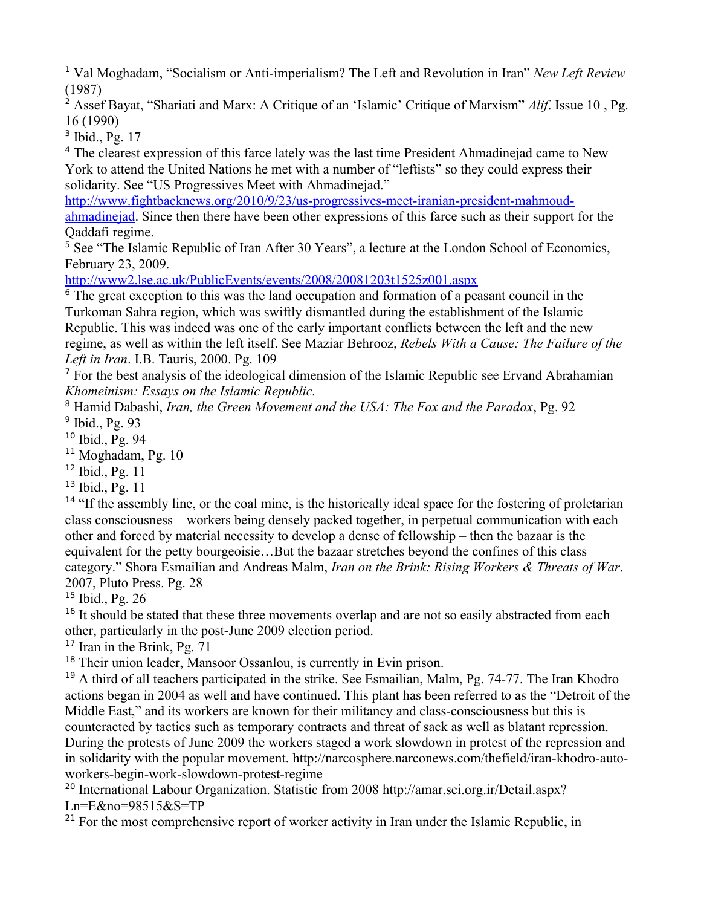<span id="page-10-0"></span><sup>1</sup> Val Moghadam, "Socialism or Anti-imperialism? The Left and Revolution in Iran" *New Left Review* (1987)

<span id="page-10-1"></span>2 Assef Bayat, "Shariati and Marx: A Critique of an 'Islamic' Critique of Marxism" *Alif*. Issue 10 , Pg. 16 (1990)

<span id="page-10-2"></span><sup>3</sup> Ibid., Pg. 17

<span id="page-10-3"></span><sup>4</sup> The clearest expression of this farce lately was the last time President Ahmadinejad came to New York to attend the United Nations he met with a number of "leftists" so they could express their solidarity. See "US Progressives Meet with Ahmadinejad."

[http://www.fightbacknews.org/2010/9/23/us-progressives-meet-iranian-president-mahmoud](http://www.fightbacknews.org/2010/9/23/us-progressives-meet-iranian-president-mahmoud-ahmadinejad)[ahmadinejad.](http://www.fightbacknews.org/2010/9/23/us-progressives-meet-iranian-president-mahmoud-ahmadinejad) Since then there have been other expressions of this farce such as their support for the Qaddafi regime.

<span id="page-10-4"></span><sup>5</sup> See "The Islamic Republic of Iran After 30 Years", a lecture at the London School of Economics, February 23, 2009.

<http://www2.lse.ac.uk/PublicEvents/events/2008/20081203t1525z001.aspx>

<span id="page-10-5"></span><sup>6</sup> The great exception to this was the land occupation and formation of a peasant council in the Turkoman Sahra region, which was swiftly dismantled during the establishment of the Islamic Republic. This was indeed was one of the early important conflicts between the left and the new regime, as well as within the left itself. See Maziar Behrooz, *Rebels With a Cause: The Failure of the Left in Iran*. I.B. Tauris, 2000. Pg. 109

<span id="page-10-6"></span><sup>7</sup> For the best analysis of the ideological dimension of the Islamic Republic see Ervand Abrahamian *Khomeinism: Essays on the Islamic Republic.*

<span id="page-10-8"></span><span id="page-10-7"></span>8 Hamid Dabashi, *Iran, the Green Movement and the USA: The Fox and the Paradox*, Pg. 92 <sup>9</sup> Ibid., Pg. 93

<span id="page-10-9"></span><sup>10</sup> Ibid., Pg. 94

<span id="page-10-10"></span><sup>11</sup> Moghadam, Pg. 10

<span id="page-10-11"></span> $12$  Ibid., Pg. 11

<span id="page-10-12"></span> $13$  Ibid., Pg. 11

<span id="page-10-13"></span><sup>14</sup> "If the assembly line, or the coal mine, is the historically ideal space for the fostering of proletarian class consciousness – workers being densely packed together, in perpetual communication with each other and forced by material necessity to develop a dense of fellowship – then the bazaar is the equivalent for the petty bourgeoisie…But the bazaar stretches beyond the confines of this class category." Shora Esmailian and Andreas Malm, *Iran on the Brink: Rising Workers & Threats of War*. 2007, Pluto Press. Pg. 28

<span id="page-10-14"></span><sup>15</sup> Ibid., Pg. 26

<span id="page-10-15"></span><sup>16</sup> It should be stated that these three movements overlap and are not so easily abstracted from each other, particularly in the post-June 2009 election period.

<span id="page-10-16"></span> $17$  Iran in the Brink, Pg. 71

<span id="page-10-17"></span><sup>18</sup> Their union leader, Mansoor Ossanlou, is currently in Evin prison.

<span id="page-10-18"></span><sup>19</sup> A third of all teachers participated in the strike. See Esmailian, Malm, Pg. 74-77. The Iran Khodro actions began in 2004 as well and have continued. This plant has been referred to as the "Detroit of the Middle East," and its workers are known for their militancy and class-consciousness but this is counteracted by tactics such as temporary contracts and threat of sack as well as blatant repression. During the protests of June 2009 the workers staged a work slowdown in protest of the repression and in solidarity with the popular movement. http://narcosphere.narconews.com/thefield/iran-khodro-autoworkers-begin-work-slowdown-protest-regime

<span id="page-10-19"></span><sup>20</sup> International Labour Organization. Statistic from 2008 http://amar.sci.org.ir/Detail.aspx? Ln=E&no=98515&S=TP

<span id="page-10-20"></span> $21$  For the most comprehensive report of worker activity in Iran under the Islamic Republic, in